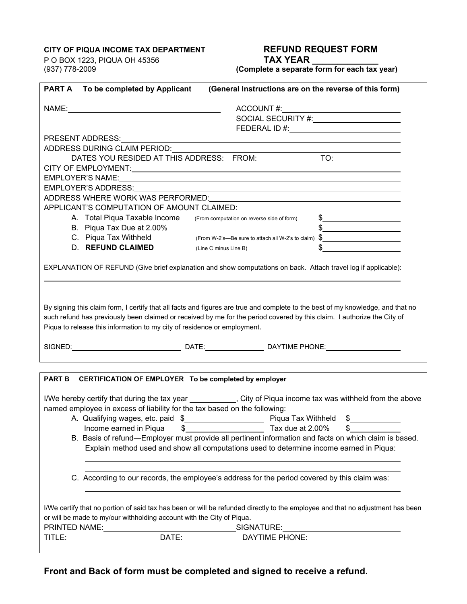## **CITY OF PIQUA INCOME TAX DEPARTMENT REFUND REQUEST FORM**

P O BOX 1223, PIQUA OH 45356 **TAX YEAR \_\_\_\_\_\_\_\_\_\_\_\_\_** 

(937) 778-2009 **(Complete a separate form for each tax year)** 

|                                                                                                                                                                                                                                                                                                                                        | <b>PART A</b> To be completed by Applicant                                                    | (General Instructions are on the reverse of this form)                                               |
|----------------------------------------------------------------------------------------------------------------------------------------------------------------------------------------------------------------------------------------------------------------------------------------------------------------------------------------|-----------------------------------------------------------------------------------------------|------------------------------------------------------------------------------------------------------|
|                                                                                                                                                                                                                                                                                                                                        |                                                                                               |                                                                                                      |
|                                                                                                                                                                                                                                                                                                                                        |                                                                                               |                                                                                                      |
|                                                                                                                                                                                                                                                                                                                                        |                                                                                               |                                                                                                      |
|                                                                                                                                                                                                                                                                                                                                        |                                                                                               |                                                                                                      |
|                                                                                                                                                                                                                                                                                                                                        | ADDRESS DURING CLAIM PERIOD:                                                                  |                                                                                                      |
|                                                                                                                                                                                                                                                                                                                                        |                                                                                               |                                                                                                      |
|                                                                                                                                                                                                                                                                                                                                        |                                                                                               |                                                                                                      |
| EMPLOYER'S NAME: University of the contract of the contract of the contract of the contract of the contract of                                                                                                                                                                                                                         |                                                                                               |                                                                                                      |
|                                                                                                                                                                                                                                                                                                                                        |                                                                                               |                                                                                                      |
|                                                                                                                                                                                                                                                                                                                                        |                                                                                               |                                                                                                      |
| APPLICANT'S COMPUTATION OF AMOUNT CLAIMED:                                                                                                                                                                                                                                                                                             |                                                                                               |                                                                                                      |
|                                                                                                                                                                                                                                                                                                                                        | A. Total Piqua Taxable Income                                                                 | $\frac{1}{2}$<br>(From computation on reverse side of form)                                          |
|                                                                                                                                                                                                                                                                                                                                        | B. Piqua Tax Due at 2.00%                                                                     |                                                                                                      |
|                                                                                                                                                                                                                                                                                                                                        | C. Piqua Tax Withheld                                                                         | (From W-2's-Be sure to attach all W-2's to claim) \$                                                 |
|                                                                                                                                                                                                                                                                                                                                        | <b>D. REFUND CLAIMED</b><br>(Line C minus Line B)                                             |                                                                                                      |
|                                                                                                                                                                                                                                                                                                                                        |                                                                                               |                                                                                                      |
| EXPLANATION OF REFUND (Give brief explanation and show computations on back. Attach travel log if applicable):                                                                                                                                                                                                                         |                                                                                               |                                                                                                      |
| By signing this claim form, I certify that all facts and figures are true and complete to the best of my knowledge, and that no<br>such refund has previously been claimed or received by me for the period covered by this claim. I authorize the City of<br>Piqua to release this information to my city of residence or employment. |                                                                                               |                                                                                                      |
|                                                                                                                                                                                                                                                                                                                                        |                                                                                               | SIGNED: ___________________________________DATE:________________________DAYTIME PHONE:______________ |
|                                                                                                                                                                                                                                                                                                                                        | PART B CERTIFICATION OF EMPLOYER To be completed by employer                                  |                                                                                                      |
|                                                                                                                                                                                                                                                                                                                                        |                                                                                               |                                                                                                      |
| I/We hereby certify that during the tax year ___________, City of Piqua income tax was withheld from the above                                                                                                                                                                                                                         |                                                                                               |                                                                                                      |
| named employee in excess of liability for the tax based on the following:                                                                                                                                                                                                                                                              |                                                                                               |                                                                                                      |
|                                                                                                                                                                                                                                                                                                                                        | Income earned in Piqua<br>\$                                                                  | $\frac{1}{2}$<br>Tax due at 2.00%<br>\$                                                              |
| B. Basis of refund—Employer must provide all pertinent information and facts on which claim is based.                                                                                                                                                                                                                                  |                                                                                               |                                                                                                      |
| Explain method used and show all computations used to determine income earned in Piqua:                                                                                                                                                                                                                                                |                                                                                               |                                                                                                      |
|                                                                                                                                                                                                                                                                                                                                        | C. According to our records, the employee's address for the period covered by this claim was: |                                                                                                      |
| I/We certify that no portion of said tax has been or will be refunded directly to the employee and that no adjustment has been                                                                                                                                                                                                         |                                                                                               |                                                                                                      |
|                                                                                                                                                                                                                                                                                                                                        | or will be made to my/our withholding account with the City of Piqua.                         |                                                                                                      |
|                                                                                                                                                                                                                                                                                                                                        |                                                                                               |                                                                                                      |
|                                                                                                                                                                                                                                                                                                                                        |                                                                                               |                                                                                                      |
|                                                                                                                                                                                                                                                                                                                                        |                                                                                               |                                                                                                      |

**Front and Back of form must be completed and signed to receive a refund.**